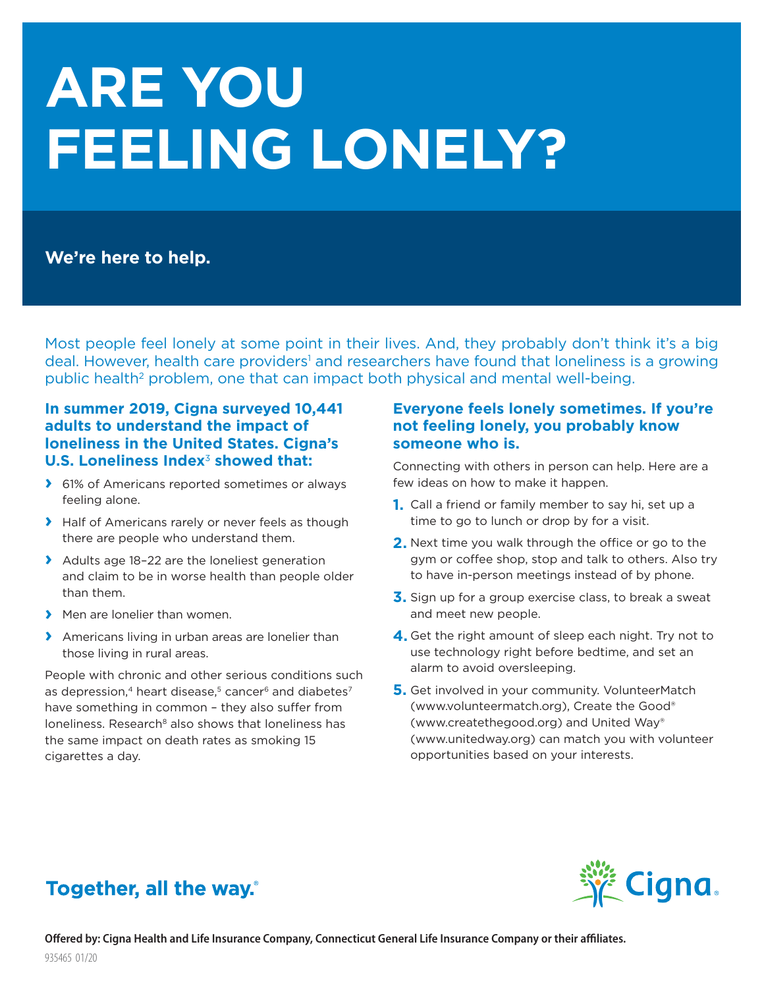# **ARE YOU FEELING LONELY?**

# **We're here to help.**

Most people feel lonely at some point in their lives. And, they probably don't think it's a big deal. However, health care providers<sup>1</sup> and researchers have found that loneliness is a growing public health<sup>2</sup> problem, one that can impact both physical and mental well-being.

## **In summer 2019, Cigna surveyed 10,441 adults to understand the impact of loneliness in the United States. Cigna's U.S. Loneliness Index**<sup>3</sup> **showed that:**

- **›** 61% of Americans reported sometimes or always feeling alone.
- **›** Half of Americans rarely or never feels as though there are people who understand them.
- **›** Adults age 18–22 are the loneliest generation and claim to be in worse health than people older than them.
- **›** Men are lonelier than women.
- **›** Americans living in urban areas are lonelier than those living in rural areas.

People with chronic and other serious conditions such as depression,<sup>4</sup> heart disease,<sup>5</sup> cancer<sup>6</sup> and diabetes<sup>7</sup> have something in common – they also suffer from loneliness. Research<sup>8</sup> also shows that loneliness has the same impact on death rates as smoking 15 cigarettes a day.

## **Everyone feels lonely sometimes. If you're not feeling lonely, you probably know someone who is.**

Connecting with others in person can help. Here are a few ideas on how to make it happen.

- **1.** Call a friend or family member to say hi, set up a time to go to lunch or drop by for a visit.
- **2.** Next time you walk through the office or go to the gym or coffee shop, stop and talk to others. Also try to have in-person meetings instead of by phone.
- **3.** Sign up for a group exercise class, to break a sweat and meet new people.
- **4.** Get the right amount of sleep each night. Try not to use technology right before bedtime, and set an alarm to avoid oversleeping.
- **5.** Get involved in your community. VolunteerMatch (www.volunteermatch.org), Create the Good® (www.createthegood.org) and United Way® (www.unitedway.org) can match you with volunteer opportunities based on your interests.